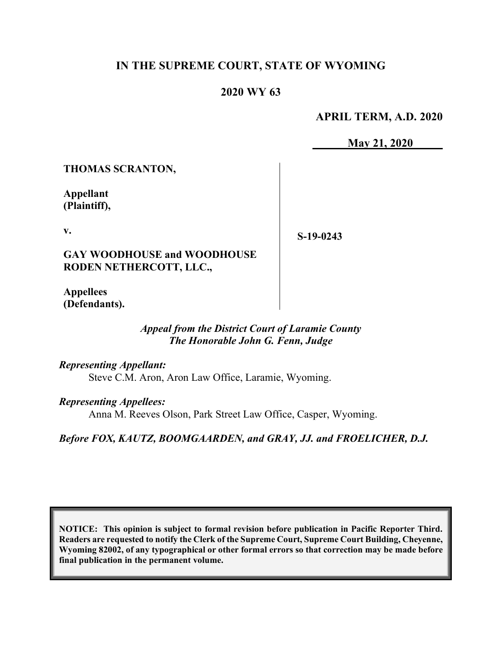## **IN THE SUPREME COURT, STATE OF WYOMING**

# **2020 WY 63**

**APRIL TERM, A.D. 2020**

**May 21, 2020**

**THOMAS SCRANTON,**

**Appellant (Plaintiff),**

**v.**

**S-19-0243**

**GAY WOODHOUSE and WOODHOUSE RODEN NETHERCOTT, LLC.,**

**Appellees (Defendants).**

#### *Appeal from the District Court of Laramie County The Honorable John G. Fenn, Judge*

*Representing Appellant:*

Steve C.M. Aron, Aron Law Office, Laramie, Wyoming.

*Representing Appellees:*

Anna M. Reeves Olson, Park Street Law Office, Casper, Wyoming.

*Before FOX, KAUTZ, BOOMGAARDEN, and GRAY, JJ. and FROELICHER, D.J.*

**NOTICE: This opinion is subject to formal revision before publication in Pacific Reporter Third. Readers are requested to notify the Clerk of the Supreme Court, Supreme Court Building, Cheyenne, Wyoming 82002, of any typographical or other formal errors so that correction may be made before final publication in the permanent volume.**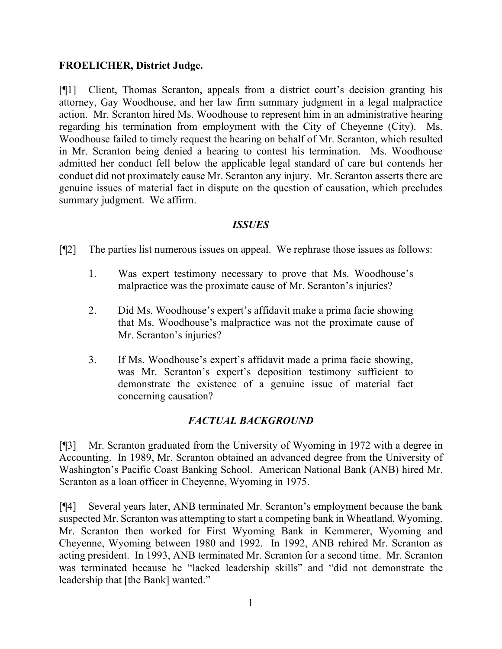## **FROELICHER, District Judge.**

[¶1] Client, Thomas Scranton, appeals from a district court's decision granting his attorney, Gay Woodhouse, and her law firm summary judgment in a legal malpractice action. Mr. Scranton hired Ms. Woodhouse to represent him in an administrative hearing regarding his termination from employment with the City of Cheyenne (City). Ms. Woodhouse failed to timely request the hearing on behalf of Mr. Scranton, which resulted in Mr. Scranton being denied a hearing to contest his termination. Ms. Woodhouse admitted her conduct fell below the applicable legal standard of care but contends her conduct did not proximately cause Mr. Scranton any injury. Mr. Scranton asserts there are genuine issues of material fact in dispute on the question of causation, which precludes summary judgment. We affirm.

## *ISSUES*

[¶2] The parties list numerous issues on appeal. We rephrase those issues as follows:

- 1. Was expert testimony necessary to prove that Ms. Woodhouse's malpractice was the proximate cause of Mr. Scranton's injuries?
- 2. Did Ms. Woodhouse's expert's affidavit make a prima facie showing that Ms. Woodhouse's malpractice was not the proximate cause of Mr. Scranton's injuries?
- 3. If Ms. Woodhouse's expert's affidavit made a prima facie showing, was Mr. Scranton's expert's deposition testimony sufficient to demonstrate the existence of a genuine issue of material fact concerning causation?

## *FACTUAL BACKGROUND*

[¶3] Mr. Scranton graduated from the University of Wyoming in 1972 with a degree in Accounting. In 1989, Mr. Scranton obtained an advanced degree from the University of Washington's Pacific Coast Banking School. American National Bank (ANB) hired Mr. Scranton as a loan officer in Cheyenne, Wyoming in 1975.

[¶4] Several years later, ANB terminated Mr. Scranton's employment because the bank suspected Mr. Scranton was attempting to start a competing bank in Wheatland, Wyoming. Mr. Scranton then worked for First Wyoming Bank in Kemmerer, Wyoming and Cheyenne, Wyoming between 1980 and 1992. In 1992, ANB rehired Mr. Scranton as acting president. In 1993, ANB terminated Mr. Scranton for a second time. Mr. Scranton was terminated because he "lacked leadership skills" and "did not demonstrate the leadership that [the Bank] wanted."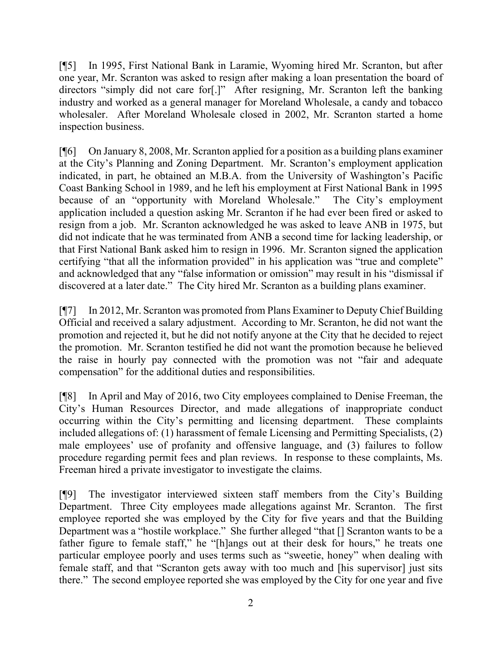[¶5] In 1995, First National Bank in Laramie, Wyoming hired Mr. Scranton, but after one year, Mr. Scranton was asked to resign after making a loan presentation the board of directors "simply did not care for[.]" After resigning, Mr. Scranton left the banking industry and worked as a general manager for Moreland Wholesale, a candy and tobacco wholesaler. After Moreland Wholesale closed in 2002, Mr. Scranton started a home inspection business.

[¶6] On January 8, 2008, Mr. Scranton applied for a position as a building plans examiner at the City's Planning and Zoning Department. Mr. Scranton's employment application indicated, in part, he obtained an M.B.A. from the University of Washington's Pacific Coast Banking School in 1989, and he left his employment at First National Bank in 1995 because of an "opportunity with Moreland Wholesale." The City's employment application included a question asking Mr. Scranton if he had ever been fired or asked to resign from a job. Mr. Scranton acknowledged he was asked to leave ANB in 1975, but did not indicate that he was terminated from ANB a second time for lacking leadership, or that First National Bank asked him to resign in 1996. Mr. Scranton signed the application certifying "that all the information provided" in his application was "true and complete" and acknowledged that any "false information or omission" may result in his "dismissal if discovered at a later date." The City hired Mr. Scranton as a building plans examiner.

[¶7] In 2012, Mr. Scranton was promoted from Plans Examiner to Deputy Chief Building Official and received a salary adjustment. According to Mr. Scranton, he did not want the promotion and rejected it, but he did not notify anyone at the City that he decided to reject the promotion. Mr. Scranton testified he did not want the promotion because he believed the raise in hourly pay connected with the promotion was not "fair and adequate compensation" for the additional duties and responsibilities.

[¶8] In April and May of 2016, two City employees complained to Denise Freeman, the City's Human Resources Director, and made allegations of inappropriate conduct occurring within the City's permitting and licensing department. These complaints included allegations of: (1) harassment of female Licensing and Permitting Specialists, (2) male employees' use of profanity and offensive language, and (3) failures to follow procedure regarding permit fees and plan reviews. In response to these complaints, Ms. Freeman hired a private investigator to investigate the claims.

[¶9] The investigator interviewed sixteen staff members from the City's Building Department. Three City employees made allegations against Mr. Scranton. The first employee reported she was employed by the City for five years and that the Building Department was a "hostile workplace." She further alleged "that [] Scranton wants to be a father figure to female staff," he "[h]angs out at their desk for hours," he treats one particular employee poorly and uses terms such as "sweetie, honey" when dealing with female staff, and that "Scranton gets away with too much and [his supervisor] just sits there." The second employee reported she was employed by the City for one year and five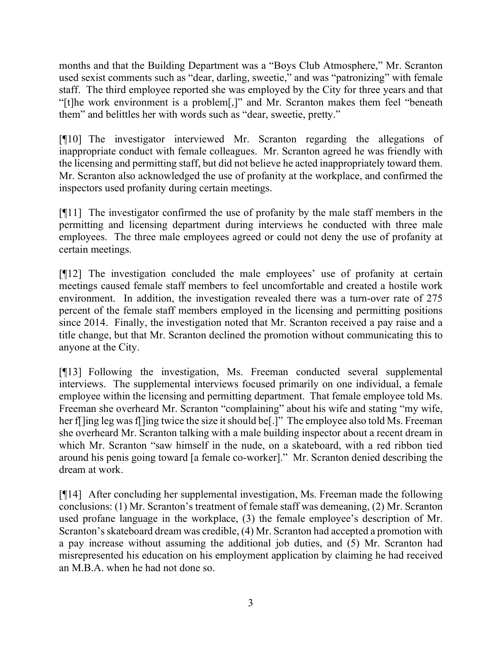months and that the Building Department was a "Boys Club Atmosphere," Mr. Scranton used sexist comments such as "dear, darling, sweetie," and was "patronizing" with female staff. The third employee reported she was employed by the City for three years and that "[t]he work environment is a problem[,]" and Mr. Scranton makes them feel "beneath them" and belittles her with words such as "dear, sweetie, pretty."

[¶10] The investigator interviewed Mr. Scranton regarding the allegations of inappropriate conduct with female colleagues. Mr. Scranton agreed he was friendly with the licensing and permitting staff, but did not believe he acted inappropriately toward them. Mr. Scranton also acknowledged the use of profanity at the workplace, and confirmed the inspectors used profanity during certain meetings.

[¶11] The investigator confirmed the use of profanity by the male staff members in the permitting and licensing department during interviews he conducted with three male employees. The three male employees agreed or could not deny the use of profanity at certain meetings.

[¶12] The investigation concluded the male employees' use of profanity at certain meetings caused female staff members to feel uncomfortable and created a hostile work environment. In addition, the investigation revealed there was a turn-over rate of 275 percent of the female staff members employed in the licensing and permitting positions since 2014. Finally, the investigation noted that Mr. Scranton received a pay raise and a title change, but that Mr. Scranton declined the promotion without communicating this to anyone at the City.

[¶13] Following the investigation, Ms. Freeman conducted several supplemental interviews. The supplemental interviews focused primarily on one individual, a female employee within the licensing and permitting department. That female employee told Ms. Freeman she overheard Mr. Scranton "complaining" about his wife and stating "my wife, her f[ling leg was f[ling twice the size it should be[.]" The employee also told Ms. Freeman she overheard Mr. Scranton talking with a male building inspector about a recent dream in which Mr. Scranton "saw himself in the nude, on a skateboard, with a red ribbon tied around his penis going toward [a female co-worker]." Mr. Scranton denied describing the dream at work.

[¶14] After concluding her supplemental investigation, Ms. Freeman made the following conclusions: (1) Mr. Scranton's treatment of female staff was demeaning, (2) Mr. Scranton used profane language in the workplace, (3) the female employee's description of Mr. Scranton's skateboard dream was credible, (4) Mr. Scranton had accepted a promotion with a pay increase without assuming the additional job duties, and (5) Mr. Scranton had misrepresented his education on his employment application by claiming he had received an M.B.A. when he had not done so.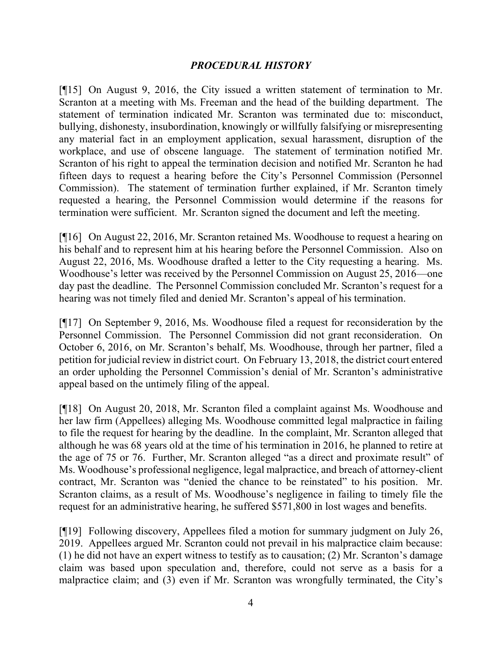#### *PROCEDURAL HISTORY*

[¶15] On August 9, 2016, the City issued a written statement of termination to Mr. Scranton at a meeting with Ms. Freeman and the head of the building department. The statement of termination indicated Mr. Scranton was terminated due to: misconduct, bullying, dishonesty, insubordination, knowingly or willfully falsifying or misrepresenting any material fact in an employment application, sexual harassment, disruption of the workplace, and use of obscene language. The statement of termination notified Mr. Scranton of his right to appeal the termination decision and notified Mr. Scranton he had fifteen days to request a hearing before the City's Personnel Commission (Personnel Commission). The statement of termination further explained, if Mr. Scranton timely requested a hearing, the Personnel Commission would determine if the reasons for termination were sufficient. Mr. Scranton signed the document and left the meeting.

[¶16] On August 22, 2016, Mr. Scranton retained Ms. Woodhouse to request a hearing on his behalf and to represent him at his hearing before the Personnel Commission. Also on August 22, 2016, Ms. Woodhouse drafted a letter to the City requesting a hearing. Ms. Woodhouse's letter was received by the Personnel Commission on August 25, 2016—one day past the deadline. The Personnel Commission concluded Mr. Scranton's request for a hearing was not timely filed and denied Mr. Scranton's appeal of his termination.

[¶17] On September 9, 2016, Ms. Woodhouse filed a request for reconsideration by the Personnel Commission. The Personnel Commission did not grant reconsideration. On October 6, 2016, on Mr. Scranton's behalf, Ms. Woodhouse, through her partner, filed a petition for judicial review in district court. On February 13, 2018, the district court entered an order upholding the Personnel Commission's denial of Mr. Scranton's administrative appeal based on the untimely filing of the appeal.

[¶18] On August 20, 2018, Mr. Scranton filed a complaint against Ms. Woodhouse and her law firm (Appellees) alleging Ms. Woodhouse committed legal malpractice in failing to file the request for hearing by the deadline. In the complaint, Mr. Scranton alleged that although he was 68 years old at the time of his termination in 2016, he planned to retire at the age of 75 or 76. Further, Mr. Scranton alleged "as a direct and proximate result" of Ms. Woodhouse's professional negligence, legal malpractice, and breach of attorney-client contract, Mr. Scranton was "denied the chance to be reinstated" to his position. Mr. Scranton claims, as a result of Ms. Woodhouse's negligence in failing to timely file the request for an administrative hearing, he suffered \$571,800 in lost wages and benefits.

[¶19] Following discovery, Appellees filed a motion for summary judgment on July 26, 2019. Appellees argued Mr. Scranton could not prevail in his malpractice claim because: (1) he did not have an expert witness to testify as to causation; (2) Mr. Scranton's damage claim was based upon speculation and, therefore, could not serve as a basis for a malpractice claim; and (3) even if Mr. Scranton was wrongfully terminated, the City's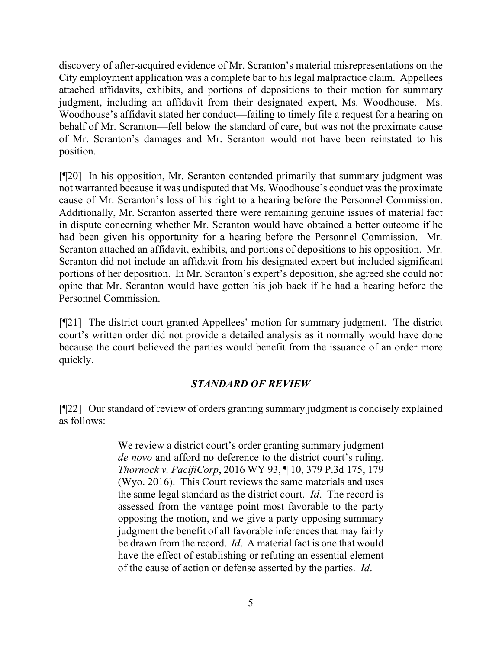discovery of after-acquired evidence of Mr. Scranton's material misrepresentations on the City employment application was a complete bar to his legal malpractice claim. Appellees attached affidavits, exhibits, and portions of depositions to their motion for summary judgment, including an affidavit from their designated expert, Ms. Woodhouse. Ms. Woodhouse's affidavit stated her conduct—failing to timely file a request for a hearing on behalf of Mr. Scranton—fell below the standard of care, but was not the proximate cause of Mr. Scranton's damages and Mr. Scranton would not have been reinstated to his position.

[¶20] In his opposition, Mr. Scranton contended primarily that summary judgment was not warranted because it was undisputed that Ms. Woodhouse's conduct was the proximate cause of Mr. Scranton's loss of his right to a hearing before the Personnel Commission. Additionally, Mr. Scranton asserted there were remaining genuine issues of material fact in dispute concerning whether Mr. Scranton would have obtained a better outcome if he had been given his opportunity for a hearing before the Personnel Commission. Mr. Scranton attached an affidavit, exhibits, and portions of depositions to his opposition. Mr. Scranton did not include an affidavit from his designated expert but included significant portions of her deposition. In Mr. Scranton's expert's deposition, she agreed she could not opine that Mr. Scranton would have gotten his job back if he had a hearing before the Personnel Commission.

[¶21] The district court granted Appellees' motion for summary judgment. The district court's written order did not provide a detailed analysis as it normally would have done because the court believed the parties would benefit from the issuance of an order more quickly.

## *STANDARD OF REVIEW*

[¶22] Our standard of review of orders granting summary judgment is concisely explained as follows:

> We review a district court's order granting summary judgment *de novo* and afford no deference to the district court's ruling. *Thornock v. PacifiCorp*[, 2016 WY 93, ¶ 10, 379 P.3d 175, 179](https://1.next.westlaw.com/Link/Document/FullText?findType=Y&serNum=2039785923&pubNum=0004645&originatingDoc=I583517e0c2af11e89a72e3efe6364bb2&refType=RP&fi=co_pp_sp_4645_179&originationContext=document&transitionType=DocumentItem&contextData=(sc.History*oc.Default)#co_pp_sp_4645_179)  [\(Wyo. 2016\).](https://1.next.westlaw.com/Link/Document/FullText?findType=Y&serNum=2039785923&pubNum=0004645&originatingDoc=I583517e0c2af11e89a72e3efe6364bb2&refType=RP&fi=co_pp_sp_4645_179&originationContext=document&transitionType=DocumentItem&contextData=(sc.History*oc.Default)#co_pp_sp_4645_179) This Court reviews the same materials and uses the same legal standard as the district court. *[Id](https://1.next.westlaw.com/Link/Document/FullText?findType=Y&serNum=2039785923&pubNum=0006431&originatingDoc=I583517e0c2af11e89a72e3efe6364bb2&refType=RP&originationContext=document&transitionType=DocumentItem&contextData=(sc.History*oc.Default))*. The record is assessed from the vantage point most favorable to the party opposing the motion, and we give a party opposing summary judgment the benefit of all favorable inferences that may fairly be drawn from the record. *[Id](https://1.next.westlaw.com/Link/Document/FullText?findType=Y&serNum=2039785923&pubNum=0006431&originatingDoc=I583517e0c2af11e89a72e3efe6364bb2&refType=RP&originationContext=document&transitionType=DocumentItem&contextData=(sc.History*oc.Default))*. A material fact is one that would have the effect of establishing or refuting an essential element of the cause of action or defense asserted by the parties. *[Id](https://1.next.westlaw.com/Link/Document/FullText?findType=Y&serNum=2039785923&pubNum=0006431&originatingDoc=I583517e0c2af11e89a72e3efe6364bb2&refType=RP&originationContext=document&transitionType=DocumentItem&contextData=(sc.History*oc.Default))*.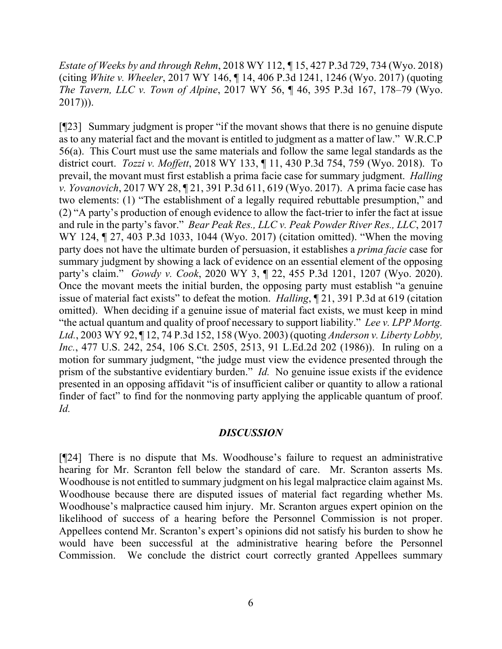*Estate of Weeks by and through Rehm*, 2018 WY 112, *¶* 15, 427 P.3d 729, 734 (Wyo. 2018) (citing *White v. Wheeler*[, 2017 WY 146, ¶ 14, 406 P.3d 1241, 1246 \(Wyo. 2017\)](https://1.next.westlaw.com/Link/Document/FullText?findType=Y&serNum=2043388423&pubNum=0004645&originatingDoc=I583517e0c2af11e89a72e3efe6364bb2&refType=RP&fi=co_pp_sp_4645_1246&originationContext=document&transitionType=DocumentItem&contextData=(sc.History*oc.Default)#co_pp_sp_4645_1246) (quoting *The Tavern, LLC v. Town of Alpine*, [2017 WY 56, ¶ 46, 395 P.3d 167, 178–79 \(Wyo.](https://1.next.westlaw.com/Link/Document/FullText?findType=Y&serNum=2041666525&pubNum=0004645&originatingDoc=I583517e0c2af11e89a72e3efe6364bb2&refType=RP&fi=co_pp_sp_4645_178&originationContext=document&transitionType=DocumentItem&contextData=(sc.History*oc.Default)#co_pp_sp_4645_178)  [2017\)\)](https://1.next.westlaw.com/Link/Document/FullText?findType=Y&serNum=2041666525&pubNum=0004645&originatingDoc=I583517e0c2af11e89a72e3efe6364bb2&refType=RP&fi=co_pp_sp_4645_178&originationContext=document&transitionType=DocumentItem&contextData=(sc.History*oc.Default)#co_pp_sp_4645_178)).

[¶23] Summary judgment is proper "if the movant shows that there is no genuine dispute as to any material fact and the movant is entitled to judgment as a matter of law." W.R.C.P 56(a). This Court must use the same materials and follow the same legal standards as the district court. *Tozzi v. Moffett*, 2018 WY 133, ¶ 11, 430 P.3d 754, 759 (Wyo. 2018). To prevail, the movant must first establish a prima facie case for summary judgment. *Halling v. Yovanovich*, 2017 WY 28, ¶ 21, 391 P.3d 611, 619 (Wyo. 2017). A prima facie case has two elements: (1) "The establishment of a legally required rebuttable presumption," and (2) "A party's production of enough evidence to allow the fact-trier to infer the fact at issue and rule in the party's favor." *Bear Peak Res., LLC v. Peak Powder River Res., LLC*, 2017 WY 124, 127, 403 P.3d 1033, 1044 (Wyo. 2017) (citation omitted). "When the moving party does not have the ultimate burden of persuasion, it establishes a *prima facie* case for summary judgment by showing a lack of evidence on an essential element of the opposing party's claim." *Gowdy v. Cook*, 2020 WY 3, ¶ 22, 455 P.3d 1201, 1207 (Wyo. 2020). Once the movant meets the initial burden, the opposing party must establish "a genuine issue of material fact exists" to defeat the motion. *Halling*, ¶ 21, 391 P.3d at 619 (citation omitted). When deciding if a genuine issue of material fact exists, we must keep in mind "the actual quantum and quality of proof necessary to support liability." *Lee v. LPP Mortg. Ltd.*, 2003 WY 92, ¶ 12, 74 P.3d 152, 158 (Wyo. 2003) (quoting *[Anderson v. Liberty Lobby,](https://1.next.westlaw.com/Link/Document/FullText?findType=Y&serNum=1986132674&pubNum=0000708&originatingDoc=I876560c6f5a411d9b386b232635db992&refType=RP&fi=co_pp_sp_708_2513&originationContext=document&transitionType=DocumentItem&contextData=(sc.Default)#co_pp_sp_708_2513)  Inc.*, [477 U.S. 242, 254, 106 S.Ct. 2505, 2513, 91 L.Ed.2d 202 \(1986\)\)](https://1.next.westlaw.com/Link/Document/FullText?findType=Y&serNum=1986132674&pubNum=0000708&originatingDoc=I876560c6f5a411d9b386b232635db992&refType=RP&fi=co_pp_sp_708_2513&originationContext=document&transitionType=DocumentItem&contextData=(sc.Default)#co_pp_sp_708_2513). In ruling on a motion for summary judgment, "the judge must view the evidence presented through the prism of the substantive evidentiary burden." *Id.* No genuine issue exists if the evidence presented in an opposing affidavit "is of insufficient caliber or quantity to allow a rational finder of fact" to find for the nonmoving party applying the applicable quantum of proof. *Id.*

#### *DISCUSSION*

[¶24] There is no dispute that Ms. Woodhouse's failure to request an administrative hearing for Mr. Scranton fell below the standard of care. Mr. Scranton asserts Ms. Woodhouse is not entitled to summary judgment on his legal malpractice claim against Ms. Woodhouse because there are disputed issues of material fact regarding whether Ms. Woodhouse's malpractice caused him injury. Mr. Scranton argues expert opinion on the likelihood of success of a hearing before the Personnel Commission is not proper. Appellees contend Mr. Scranton's expert's opinions did not satisfy his burden to show he would have been successful at the administrative hearing before the Personnel Commission. We conclude the district court correctly granted Appellees summary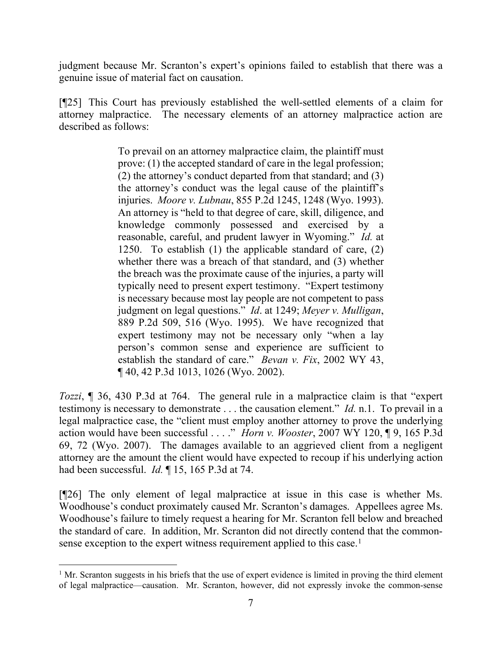judgment because Mr. Scranton's expert's opinions failed to establish that there was a genuine issue of material fact on causation.

[¶25] This Court has previously established the well-settled elements of a claim for attorney malpractice. The necessary elements of an attorney malpractice action are described as follows:

> To prevail on an attorney malpractice claim, the plaintiff must prove: (1) the accepted standard of care in the legal profession; (2) the attorney's conduct departed from that standard; and (3) the attorney's conduct was the legal cause of the plaintiff's injuries. *Moore v. Lubnau*[, 855 P.2d 1245, 1248 \(Wyo. 1993\).](https://1.next.westlaw.com/Link/Document/FullText?findType=Y&serNum=1993142954&pubNum=0000661&originatingDoc=I6f460bb0f76111e8a99cca37ea0f7dc8&refType=RP&fi=co_pp_sp_661_1248&originationContext=document&transitionType=DocumentItem&contextData=(sc.History*oc.Default)#co_pp_sp_661_1248) An attorney is "held to that degree of care, skill, diligence, and knowledge commonly possessed and exercised by a reasonable, careful, and prudent lawyer in Wyoming." *[Id.](https://1.next.westlaw.com/Link/Document/FullText?findType=Y&serNum=1993142954&pubNum=0000661&originatingDoc=I6f460bb0f76111e8a99cca37ea0f7dc8&refType=RP&fi=co_pp_sp_661_1250&originationContext=document&transitionType=DocumentItem&contextData=(sc.History*oc.Default)#co_pp_sp_661_1250)* at [1250.](https://1.next.westlaw.com/Link/Document/FullText?findType=Y&serNum=1993142954&pubNum=0000661&originatingDoc=I6f460bb0f76111e8a99cca37ea0f7dc8&refType=RP&fi=co_pp_sp_661_1250&originationContext=document&transitionType=DocumentItem&contextData=(sc.History*oc.Default)#co_pp_sp_661_1250) To establish (1) the applicable standard of care, (2) whether there was a breach of that standard, and (3) whether the breach was the proximate cause of the injuries, a party will typically need to present expert testimony. "Expert testimony is necessary because most lay people are not competent to pass judgment on legal questions." *Id*[. at 1249;](https://1.next.westlaw.com/Link/Document/FullText?findType=Y&serNum=1993142954&pubNum=0000661&originatingDoc=I6f460bb0f76111e8a99cca37ea0f7dc8&refType=RP&fi=co_pp_sp_661_1249&originationContext=document&transitionType=DocumentItem&contextData=(sc.History*oc.Default)#co_pp_sp_661_1249) *[Meyer v. Mulligan](https://1.next.westlaw.com/Link/Document/FullText?findType=Y&serNum=1995037745&pubNum=0000661&originatingDoc=I6f460bb0f76111e8a99cca37ea0f7dc8&refType=RP&fi=co_pp_sp_661_516&originationContext=document&transitionType=DocumentItem&contextData=(sc.History*oc.Default)#co_pp_sp_661_516)*, [889 P.2d 509, 516 \(Wyo. 1995\).](https://1.next.westlaw.com/Link/Document/FullText?findType=Y&serNum=1995037745&pubNum=0000661&originatingDoc=I6f460bb0f76111e8a99cca37ea0f7dc8&refType=RP&fi=co_pp_sp_661_516&originationContext=document&transitionType=DocumentItem&contextData=(sc.History*oc.Default)#co_pp_sp_661_516) We have recognized that expert testimony may not be necessary only "when a lay person's common sense and experience are sufficient to establish the standard of care." *Bevan v. Fix*[, 2002 WY 43,](https://1.next.westlaw.com/Link/Document/FullText?findType=Y&serNum=2002200787&pubNum=0004645&originatingDoc=I6f460bb0f76111e8a99cca37ea0f7dc8&refType=RP&fi=co_pp_sp_4645_1026&originationContext=document&transitionType=DocumentItem&contextData=(sc.History*oc.Default)#co_pp_sp_4645_1026)  ¶ [40, 42 P.3d 1013, 1026 \(Wyo. 2002\).](https://1.next.westlaw.com/Link/Document/FullText?findType=Y&serNum=2002200787&pubNum=0004645&originatingDoc=I6f460bb0f76111e8a99cca37ea0f7dc8&refType=RP&fi=co_pp_sp_4645_1026&originationContext=document&transitionType=DocumentItem&contextData=(sc.History*oc.Default)#co_pp_sp_4645_1026)

*Tozzi*, ¶ 36, 430 P.3d at 764. The general rule in a malpractice claim is that "expert testimony is necessary to demonstrate . . . the causation element." *Id.* n.1. To prevail in a legal malpractice case, the "client must employ another attorney to prove the underlying action would have been successful . . . ." *Horn v. Wooster*, 2007 WY 120, ¶ 9, 165 P.3d 69, 72 (Wyo. 2007). The damages available to an aggrieved client from a negligent attorney are the amount the client would have expected to recoup if his underlying action had been successful. *Id.* ¶ 15, 165 P.3d at 74.

[¶26] The only element of legal malpractice at issue in this case is whether Ms. Woodhouse's conduct proximately caused Mr. Scranton's damages. Appellees agree Ms. Woodhouse's failure to timely request a hearing for Mr. Scranton fell below and breached the standard of care. In addition, Mr. Scranton did not directly contend that the common-sense exception to the expert witness requirement applied to this case.<sup>[1](#page-7-0)</sup>

<span id="page-7-0"></span><sup>&</sup>lt;sup>1</sup> Mr. Scranton suggests in his briefs that the use of expert evidence is limited in proving the third element of legal malpractice—causation. Mr. Scranton, however, did not expressly invoke the common-sense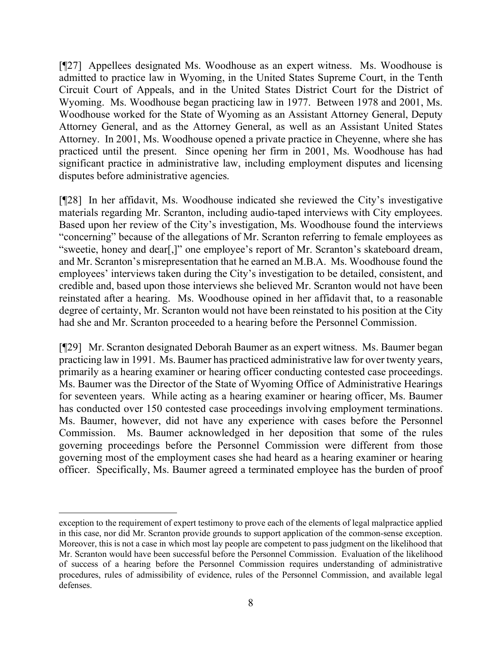[¶27] Appellees designated Ms. Woodhouse as an expert witness. Ms. Woodhouse is admitted to practice law in Wyoming, in the United States Supreme Court, in the Tenth Circuit Court of Appeals, and in the United States District Court for the District of Wyoming. Ms. Woodhouse began practicing law in 1977. Between 1978 and 2001, Ms. Woodhouse worked for the State of Wyoming as an Assistant Attorney General, Deputy Attorney General, and as the Attorney General, as well as an Assistant United States Attorney. In 2001, Ms. Woodhouse opened a private practice in Cheyenne, where she has practiced until the present. Since opening her firm in 2001, Ms. Woodhouse has had significant practice in administrative law, including employment disputes and licensing disputes before administrative agencies.

[¶28] In her affidavit, Ms. Woodhouse indicated she reviewed the City's investigative materials regarding Mr. Scranton, including audio-taped interviews with City employees. Based upon her review of the City's investigation, Ms. Woodhouse found the interviews "concerning" because of the allegations of Mr. Scranton referring to female employees as "sweetie, honey and dear[,]" one employee's report of Mr. Scranton's skateboard dream, and Mr. Scranton's misrepresentation that he earned an M.B.A. Ms. Woodhouse found the employees' interviews taken during the City's investigation to be detailed, consistent, and credible and, based upon those interviews she believed Mr. Scranton would not have been reinstated after a hearing. Ms. Woodhouse opined in her affidavit that, to a reasonable degree of certainty, Mr. Scranton would not have been reinstated to his position at the City had she and Mr. Scranton proceeded to a hearing before the Personnel Commission.

[¶29] Mr. Scranton designated Deborah Baumer as an expert witness. Ms. Baumer began practicing law in 1991. Ms. Baumer has practiced administrative law for over twenty years, primarily as a hearing examiner or hearing officer conducting contested case proceedings. Ms. Baumer was the Director of the State of Wyoming Office of Administrative Hearings for seventeen years. While acting as a hearing examiner or hearing officer, Ms. Baumer has conducted over 150 contested case proceedings involving employment terminations. Ms. Baumer, however, did not have any experience with cases before the Personnel Commission. Ms. Baumer acknowledged in her deposition that some of the rules governing proceedings before the Personnel Commission were different from those governing most of the employment cases she had heard as a hearing examiner or hearing officer. Specifically, Ms. Baumer agreed a terminated employee has the burden of proof

exception to the requirement of expert testimony to prove each of the elements of legal malpractice applied in this case, nor did Mr. Scranton provide grounds to support application of the common-sense exception. Moreover, this is not a case in which most lay people are competent to pass judgment on the likelihood that Mr. Scranton would have been successful before the Personnel Commission. Evaluation of the likelihood of success of a hearing before the Personnel Commission requires understanding of administrative procedures, rules of admissibility of evidence, rules of the Personnel Commission, and available legal defenses.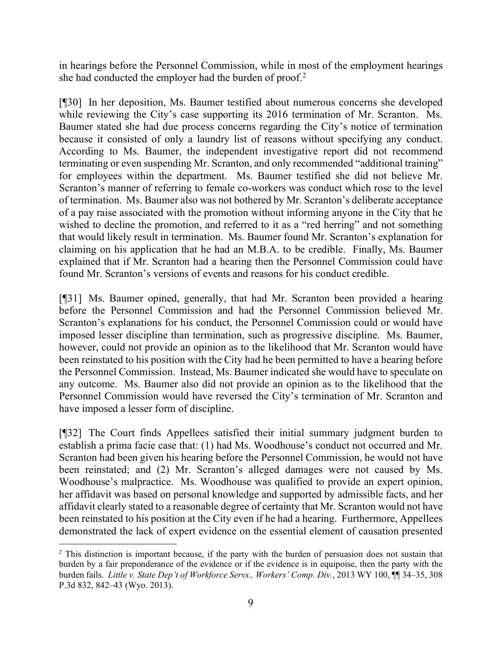in hearings before the Personnel Commission, while in most of the employment hearings she had conducted the employer had the burden of proof.[2](#page-9-0)

[¶30] In her deposition, Ms. Baumer testified about numerous concerns she developed while reviewing the City's case supporting its 2016 termination of Mr. Scranton. Ms. Baumer stated she had due process concerns regarding the City's notice of termination because it consisted of only a laundry list of reasons without specifying any conduct. According to Ms. Baumer, the independent investigative report did not recommend terminating or even suspending Mr. Scranton, and only recommended "additional training" for employees within the department. Ms. Baumer testified she did not believe Mr. Scranton's manner of referring to female co-workers was conduct which rose to the level of termination. Ms. Baumer also was not bothered by Mr. Scranton's deliberate acceptance of a pay raise associated with the promotion without informing anyone in the City that he wished to decline the promotion, and referred to it as a "red herring" and not something that would likely result in termination. Ms. Baumer found Mr. Scranton's explanation for claiming on his application that he had an M.B.A. to be credible. Finally, Ms. Baumer explained that if Mr. Scranton had a hearing then the Personnel Commission could have found Mr. Scranton's versions of events and reasons for his conduct credible.

[¶31] Ms. Baumer opined, generally, that had Mr. Scranton been provided a hearing before the Personnel Commission and had the Personnel Commission believed Mr. Scranton's explanations for his conduct, the Personnel Commission could or would have imposed lesser discipline than termination, such as progressive discipline. Ms. Baumer, however, could not provide an opinion as to the likelihood that Mr. Scranton would have been reinstated to his position with the City had he been permitted to have a hearing before the Personnel Commission. Instead, Ms. Baumer indicated she would have to speculate on any outcome. Ms. Baumer also did not provide an opinion as to the likelihood that the Personnel Commission would have reversed the City's termination of Mr. Scranton and have imposed a lesser form of discipline.

[¶32] The Court finds Appellees satisfied their initial summary judgment burden to establish a prima facie case that: (1) had Ms. Woodhouse's conduct not occurred and Mr. Scranton had been given his hearing before the Personnel Commission, he would not have been reinstated; and (2) Mr. Scranton's alleged damages were not caused by Ms. Woodhouse's malpractice. Ms. Woodhouse was qualified to provide an expert opinion, her affidavit was based on personal knowledge and supported by admissible facts, and her affidavit clearly stated to a reasonable degree of certainty that Mr. Scranton would not have been reinstated to his position at the City even if he had a hearing. Furthermore, Appellees demonstrated the lack of expert evidence on the essential element of causation presented

<span id="page-9-0"></span><sup>&</sup>lt;sup>2</sup> This distinction is important because, if the party with the burden of persuasion does not sustain that burden by a fair preponderance of the evidence or if the evidence is in equipoise, then the party with the burden fails. *Little v. State Dep't of Workforce Servs., Workers' Comp. Div.*, 2013 WY 100, ¶¶ 34–35, 308 P.3d 832, 842–43 (Wyo. 2013).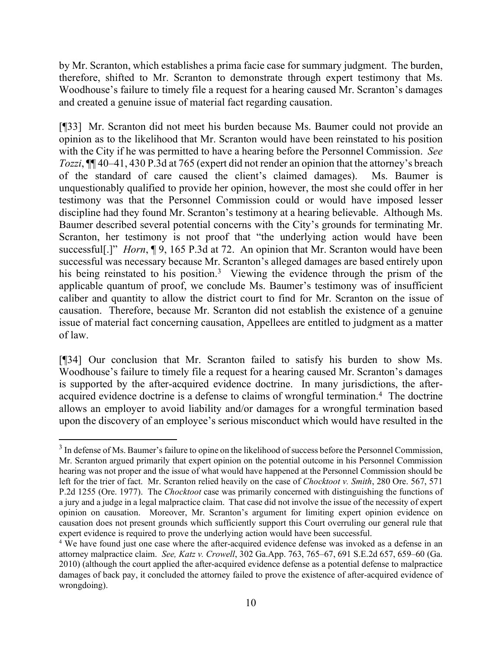by Mr. Scranton, which establishes a prima facie case for summary judgment. The burden, therefore, shifted to Mr. Scranton to demonstrate through expert testimony that Ms. Woodhouse's failure to timely file a request for a hearing caused Mr. Scranton's damages and created a genuine issue of material fact regarding causation.

[¶33] Mr. Scranton did not meet his burden because Ms. Baumer could not provide an opinion as to the likelihood that Mr. Scranton would have been reinstated to his position with the City if he was permitted to have a hearing before the Personnel Commission. *See Tozzi*, ¶¶ 40–41, 430 P.3d at 765 (expert did not render an opinion that the attorney's breach of the standard of care caused the client's claimed damages). Ms. Baumer is unquestionably qualified to provide her opinion, however, the most she could offer in her testimony was that the Personnel Commission could or would have imposed lesser discipline had they found Mr. Scranton's testimony at a hearing believable. Although Ms. Baumer described several potential concerns with the City's grounds for terminating Mr. Scranton, her testimony is not proof that "the underlying action would have been successful[.]" *Horn*, ¶ 9, 165 P.3d at 72. An opinion that Mr. Scranton would have been successful was necessary because Mr. Scranton's alleged damages are based entirely upon his being reinstated to his position.<sup>[3](#page-10-0)</sup> Viewing the evidence through the prism of the applicable quantum of proof, we conclude Ms. Baumer's testimony was of insufficient caliber and quantity to allow the district court to find for Mr. Scranton on the issue of causation. Therefore, because Mr. Scranton did not establish the existence of a genuine issue of material fact concerning causation, Appellees are entitled to judgment as a matter of law.

[¶34] Our conclusion that Mr. Scranton failed to satisfy his burden to show Ms. Woodhouse's failure to timely file a request for a hearing caused Mr. Scranton's damages is supported by the after-acquired evidence doctrine. In many jurisdictions, the after-acquired evidence doctrine is a defense to claims of wrongful termination.<sup>[4](#page-10-1)</sup> The doctrine allows an employer to avoid liability and/or damages for a wrongful termination based upon the discovery of an employee's serious misconduct which would have resulted in the

<span id="page-10-0"></span><sup>&</sup>lt;sup>3</sup> In defense of Ms. Baumer's failure to opine on the likelihood of success before the Personnel Commission, Mr. Scranton argued primarily that expert opinion on the potential outcome in his Personnel Commission hearing was not proper and the issue of what would have happened at the Personnel Commission should be left for the trier of fact. Mr. Scranton relied heavily on the case of *Chocktoot v. Smith*, 280 Ore. 567, 571 P.2d 1255 (Ore. 1977). The *Chocktoot* case was primarily concerned with distinguishing the functions of a jury and a judge in a legal malpractice claim. That case did not involve the issue of the necessity of expert opinion on causation. Moreover, Mr. Scranton's argument for limiting expert opinion evidence on causation does not present grounds which sufficiently support this Court overruling our general rule that expert evidence is required to prove the underlying action would have been successful.

<span id="page-10-1"></span><sup>&</sup>lt;sup>4</sup> We have found just one case where the after-acquired evidence defense was invoked as a defense in an attorney malpractice claim. *See, Katz v. Crowell*, 302 Ga.App. 763, 765–67, 691 S.E.2d 657, 659–60 (Ga. 2010) (although the court applied the after-acquired evidence defense as a potential defense to malpractice damages of back pay, it concluded the attorney failed to prove the existence of after-acquired evidence of wrongdoing).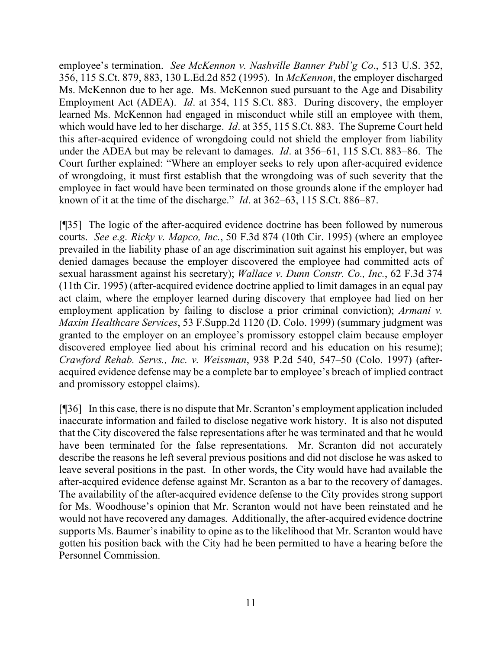employee's termination. *See McKennon v. Nashville Banner Publ'g Co*., 513 U.S. 352, 356, 115 S.Ct. 879, 883, 130 L.Ed.2d 852 (1995). In *McKennon*, the employer discharged Ms. McKennon due to her age. Ms. McKennon sued pursuant to the Age and Disability Employment Act (ADEA). *Id*. at 354, 115 S.Ct. 883. During discovery, the employer learned Ms. McKennon had engaged in misconduct while still an employee with them, which would have led to her discharge. *Id*. at 355, 115 S.Ct. 883. The Supreme Court held this after-acquired evidence of wrongdoing could not shield the employer from liability under the ADEA but may be relevant to damages. *Id*. at 356–61, 115 S.Ct. 883–86. The Court further explained: "Where an employer seeks to rely upon after-acquired evidence of wrongdoing, it must first establish that the wrongdoing was of such severity that the employee in fact would have been terminated on those grounds alone if the employer had known of it at the time of the discharge." *Id*. at 362–63, 115 S.Ct. 886–87.

[¶35] The logic of the after-acquired evidence doctrine has been followed by numerous courts. *See e.g. Ricky v. Mapco, Inc.*, 50 F.3d 874 (10th Cir. 1995) (where an employee prevailed in the liability phase of an age discrimination suit against his employer, but was denied damages because the employer discovered the employee had committed acts of sexual harassment against his secretary); *Wallace v. Dunn Constr. Co., Inc.*, 62 F.3d 374 (11th Cir. 1995) (after-acquired evidence doctrine applied to limit damages in an equal pay act claim, where the employer learned during discovery that employee had lied on her employment application by failing to disclose a prior criminal conviction); *Armani v. Maxim Healthcare Services*, 53 F.Supp.2d 1120 (D. Colo. 1999) (summary judgment was granted to the employer on an employee's promissory estoppel claim because employer discovered employee lied about his criminal record and his education on his resume); *Crawford Rehab. Servs., Inc. v. Weissman*, 938 P.2d 540, 547–50 (Colo. 1997) (afteracquired evidence defense may be a complete bar to employee's breach of implied contract and promissory estoppel claims).

[¶36] In this case, there is no dispute that Mr. Scranton's employment application included inaccurate information and failed to disclose negative work history. It is also not disputed that the City discovered the false representations after he was terminated and that he would have been terminated for the false representations. Mr. Scranton did not accurately describe the reasons he left several previous positions and did not disclose he was asked to leave several positions in the past. In other words, the City would have had available the after-acquired evidence defense against Mr. Scranton as a bar to the recovery of damages. The availability of the after-acquired evidence defense to the City provides strong support for Ms. Woodhouse's opinion that Mr. Scranton would not have been reinstated and he would not have recovered any damages. Additionally, the after-acquired evidence doctrine supports Ms. Baumer's inability to opine as to the likelihood that Mr. Scranton would have gotten his position back with the City had he been permitted to have a hearing before the Personnel Commission.